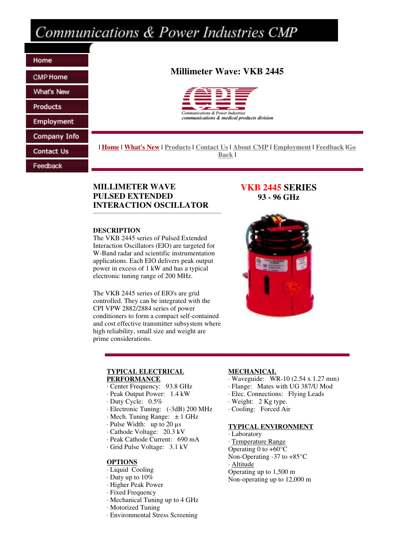# Communications & Power Industries CMP

Home **CMP** Home **What's New Products Employment** Company Info

Contact Us

Feedback

# **Millimeter Wave: VKB 2445**



**| Home | What's New | Products | Contact Us | About CMP | Employment | Feedback |Go Back |**

# **MILLIMETER WAVE PULSED EXTENDED INTERACTION OSCILLATOR**

## **DESCRIPTION**

The VKB 2445 series of Pulsed Extended Interaction Oscillators (EIO) are targeted for W-Band radar and scientific instrumentation applications. Each EIO delivers peak output power in excess of 1 kW and has a typical electronic tuning range of 200 MHz.

The VKB 2445 series of EIO's are grid controlled. They can be integrated with the CPI VPW 2882/2884 series of power conditioners to form a compact self-contained and cost effective transmitter subsystem where high reliability, small size and weight are prime considerations.

# **VKB 2445 SERIES 93 - 96 GHz**



#### **TYPICAL ELECTRICAL PERFORMANCE**

- · Center Frequency: 93.8 GHz
- · Peak Output Power: 1.4 kW
- · Duty Cycle: 0.5%
- · Electronic Tuning: (-3dB) 200 MHz
- $\cdot$  Mech. Tuning Range:  $\pm$  1 GHz
- · Pulse Width: up to 20 µs
- · Cathode Voltage: 20.3 kV
- · Peak Cathode Current: 690 mA
- · Grid Pulse Voltage: 3.1 kV

#### **OPTIONS**

- · Liquid Cooling
- · Duty up to 10%
- · Higher Peak Power
- · Fixed Frequency
- · Mechanical Tuning up to 4 GHz
- · Motorized Tuning
- · Environmental Stress Screening

## **MECHANICAL**

- · Waveguide: WR-10 (2.54 x 1.27 mm)
- · Flange: Mates with UG 387/U Mod
- · Elec. Connections: Flying Leads
- · Weight: 2 Kg type.
- · Cooling: Forced Air

## **TYPICAL ENVIRONMENT**

- · Laboratory
- · Temperature Range
- Operating 0 to  $+60^{\circ}$ C Non-Operating -37 to +85°C
- · Altitude
- Operating up to 1,500 m
- Non-operating up to 12,000 m